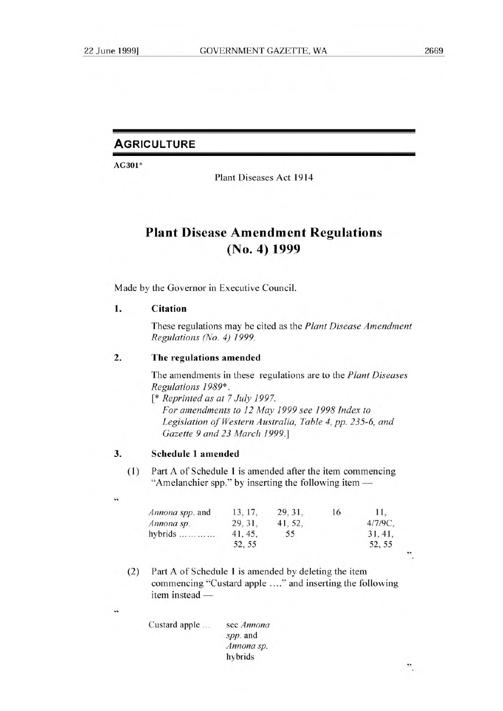$\ddot{\phantom{a}}$ 

## **AGRICULTURE**

AG301\*

Plant Diseases Act 1914

# **Plant Disease Amendment Regulations (No. 4) 1999**

Made by the Governor in Executive Council.

### **1. Citation**

These regulations may be cited as the *Plant Disease Amendment Regulations (No. 4) 1999.* 

### **2. The regulations** amended

The amendments in these regulations are to the *Plant Diseases Regulations 1989\*.* 

[\* *Reprinted as at 7 July 1997. For amendments to 12 May 1999 see 1998 Index to Legislation of Western Australia, Table 4, pp. 235-6, and Gazette 9 and 23 March 1999.]* 

#### **3. Schedule 1 amended**

44

44

(1) Part A of Schedule **1** is amended after the item commencing "Amelanchier spp." by inserting the following item —

| Annona spp. and | 13, 17, | 29, 31, | 16 | 11.        |   |
|-----------------|---------|---------|----|------------|---|
| Annona sp.      | 29, 31, | 41, 52, |    | $4/7/9C$ , |   |
| hybrids         | 41, 45, | 55      |    | 31, 41,    |   |
|                 | 52.55   |         |    | 52, 55     |   |
|                 |         |         |    |            | , |
|                 |         |         |    |            |   |

(2) Part A of Schedule 1 is amended by deleting the item commencing "Custard apple ...." and inserting the following item instead —

| Custard apple | see Annona |
|---------------|------------|
|               | spp. and   |
|               | Annona sp. |
|               | hybrids    |